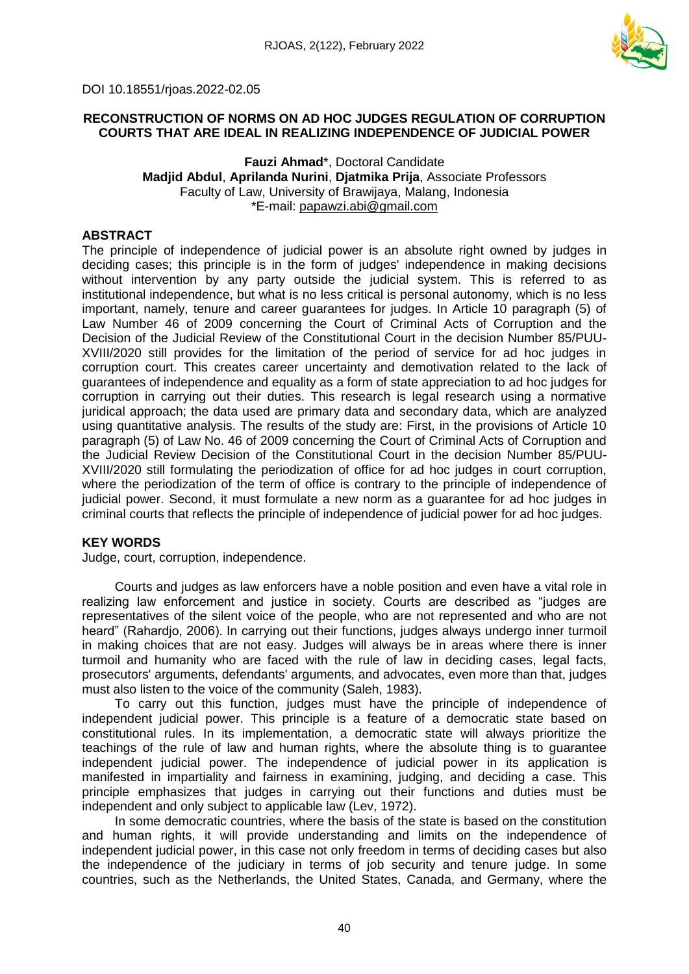

### DOI 10.18551/rjoas.2022-02.05

## **RECONSTRUCTION OF NORMS ON AD HOC JUDGES REGULATION OF CORRUPTION COURTS THAT ARE IDEAL IN REALIZING INDEPENDENCE OF JUDICIAL POWER**

### **Fauzi Ahmad**\*, Doctoral Candidate **Madjid Abdul**, **Aprilanda Nurini**, **Djatmika Prija**, Associate Professors Faculty of Law, University of Brawijaya, Malang, Indonesia \*E-mail: [papawzi.abi@gmail.com](mailto:papawzi.abi@gmail.com)

### **ABSTRACT**

The principle of independence of judicial power is an absolute right owned by judges in deciding cases; this principle is in the form of judges' independence in making decisions without intervention by any party outside the judicial system. This is referred to as institutional independence, but what is no less critical is personal autonomy, which is no less important, namely, tenure and career guarantees for judges. In Article 10 paragraph (5) of Law Number 46 of 2009 concerning the Court of Criminal Acts of Corruption and the Decision of the Judicial Review of the Constitutional Court in the decision Number 85/PUU-XVIII/2020 still provides for the limitation of the period of service for ad hoc judges in corruption court. This creates career uncertainty and demotivation related to the lack of guarantees of independence and equality as a form of state appreciation to ad hoc judges for corruption in carrying out their duties. This research is legal research using a normative juridical approach; the data used are primary data and secondary data, which are analyzed using quantitative analysis. The results of the study are: First, in the provisions of Article 10 paragraph (5) of Law No. 46 of 2009 concerning the Court of Criminal Acts of Corruption and the Judicial Review Decision of the Constitutional Court in the decision Number 85/PUU-XVIII/2020 still formulating the periodization of office for ad hoc judges in court corruption, where the periodization of the term of office is contrary to the principle of independence of judicial power. Second, it must formulate a new norm as a guarantee for ad hoc judges in criminal courts that reflects the principle of independence of judicial power for ad hoc judges.

#### **KEY WORDS**

Judge, court, corruption, independence.

Courts and judges as law enforcers have a noble position and even have a vital role in realizing law enforcement and justice in society. Courts are described as "judges are representatives of the silent voice of the people, who are not represented and who are not heard" (Rahardjo, 2006). In carrying out their functions, judges always undergo inner turmoil in making choices that are not easy. Judges will always be in areas where there is inner turmoil and humanity who are faced with the rule of law in deciding cases, legal facts, prosecutors' arguments, defendants' arguments, and advocates, even more than that, judges must also listen to the voice of the community (Saleh, 1983).

To carry out this function, judges must have the principle of independence of independent judicial power. This principle is a feature of a democratic state based on constitutional rules. In its implementation, a democratic state will always prioritize the teachings of the rule of law and human rights, where the absolute thing is to guarantee independent judicial power. The independence of judicial power in its application is manifested in impartiality and fairness in examining, judging, and deciding a case. This principle emphasizes that judges in carrying out their functions and duties must be independent and only subject to applicable law (Lev, 1972).

In some democratic countries, where the basis of the state is based on the constitution and human rights, it will provide understanding and limits on the independence of independent judicial power, in this case not only freedom in terms of deciding cases but also the independence of the judiciary in terms of job security and tenure judge. In some countries, such as the Netherlands, the United States, Canada, and Germany, where the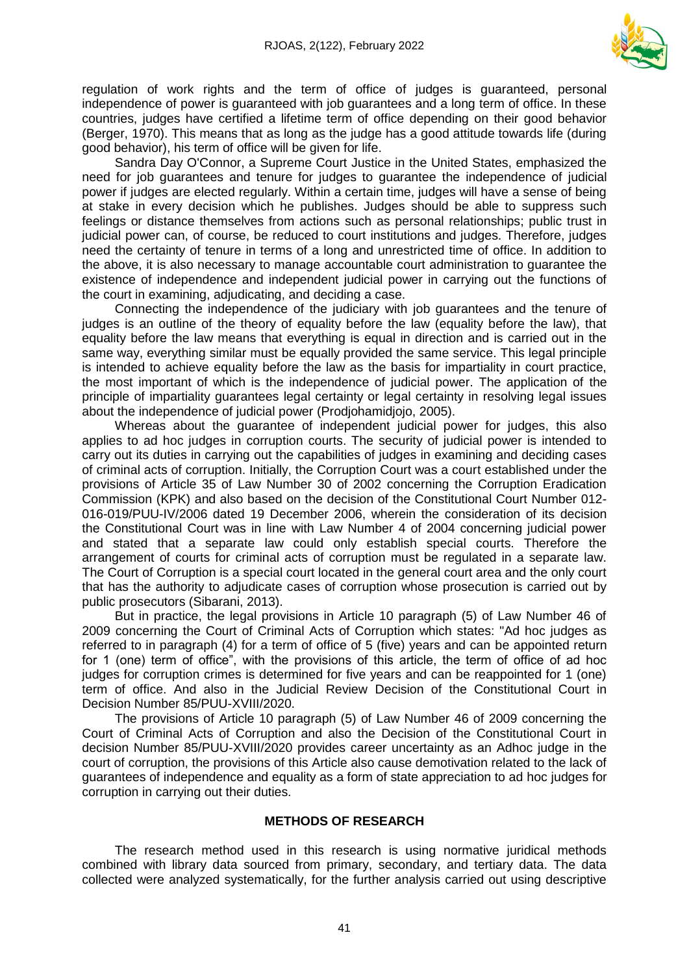

regulation of work rights and the term of office of judges is guaranteed, personal independence of power is guaranteed with job guarantees and a long term of office. In these countries, judges have certified a lifetime term of office depending on their good behavior (Berger, 1970). This means that as long as the judge has a good attitude towards life (during good behavior), his term of office will be given for life.

Sandra Day O'Connor, a Supreme Court Justice in the United States, emphasized the need for job guarantees and tenure for judges to guarantee the independence of judicial power if judges are elected regularly. Within a certain time, judges will have a sense of being at stake in every decision which he publishes. Judges should be able to suppress such feelings or distance themselves from actions such as personal relationships; public trust in judicial power can, of course, be reduced to court institutions and judges. Therefore, judges need the certainty of tenure in terms of a long and unrestricted time of office. In addition to the above, it is also necessary to manage accountable court administration to guarantee the existence of independence and independent judicial power in carrying out the functions of the court in examining, adjudicating, and deciding a case.

Connecting the independence of the judiciary with job guarantees and the tenure of judges is an outline of the theory of equality before the law (equality before the law), that equality before the law means that everything is equal in direction and is carried out in the same way, everything similar must be equally provided the same service. This legal principle is intended to achieve equality before the law as the basis for impartiality in court practice, the most important of which is the independence of judicial power. The application of the principle of impartiality guarantees legal certainty or legal certainty in resolving legal issues about the independence of judicial power (Prodjohamidjojo, 2005).

Whereas about the guarantee of independent judicial power for judges, this also applies to ad hoc judges in corruption courts. The security of judicial power is intended to carry out its duties in carrying out the capabilities of judges in examining and deciding cases of criminal acts of corruption. Initially, the Corruption Court was a court established under the provisions of Article 35 of Law Number 30 of 2002 concerning the Corruption Eradication Commission (KPK) and also based on the decision of the Constitutional Court Number 012- 016-019/PUU-IV/2006 dated 19 December 2006, wherein the consideration of its decision the Constitutional Court was in line with Law Number 4 of 2004 concerning judicial power and stated that a separate law could only establish special courts. Therefore the arrangement of courts for criminal acts of corruption must be regulated in a separate law. The Court of Corruption is a special court located in the general court area and the only court that has the authority to adjudicate cases of corruption whose prosecution is carried out by public prosecutors (Sibarani, 2013).

But in practice, the legal provisions in Article 10 paragraph (5) of Law Number 46 of 2009 concerning the Court of Criminal Acts of Corruption which states: "Ad hoc judges as referred to in paragraph (4) for a term of office of 5 (five) years and can be appointed return for 1 (one) term of office", with the provisions of this article, the term of office of ad hoc judges for corruption crimes is determined for five years and can be reappointed for 1 (one) term of office. And also in the Judicial Review Decision of the Constitutional Court in Decision Number 85/PUU-XVIII/2020.

The provisions of Article 10 paragraph (5) of Law Number 46 of 2009 concerning the Court of Criminal Acts of Corruption and also the Decision of the Constitutional Court in decision Number 85/PUU-XVIII/2020 provides career uncertainty as an Adhoc judge in the court of corruption, the provisions of this Article also cause demotivation related to the lack of guarantees of independence and equality as a form of state appreciation to ad hoc judges for corruption in carrying out their duties.

#### **METHODS OF RESEARCH**

The research method used in this research is using normative juridical methods combined with library data sourced from primary, secondary, and tertiary data. The data collected were analyzed systematically, for the further analysis carried out using descriptive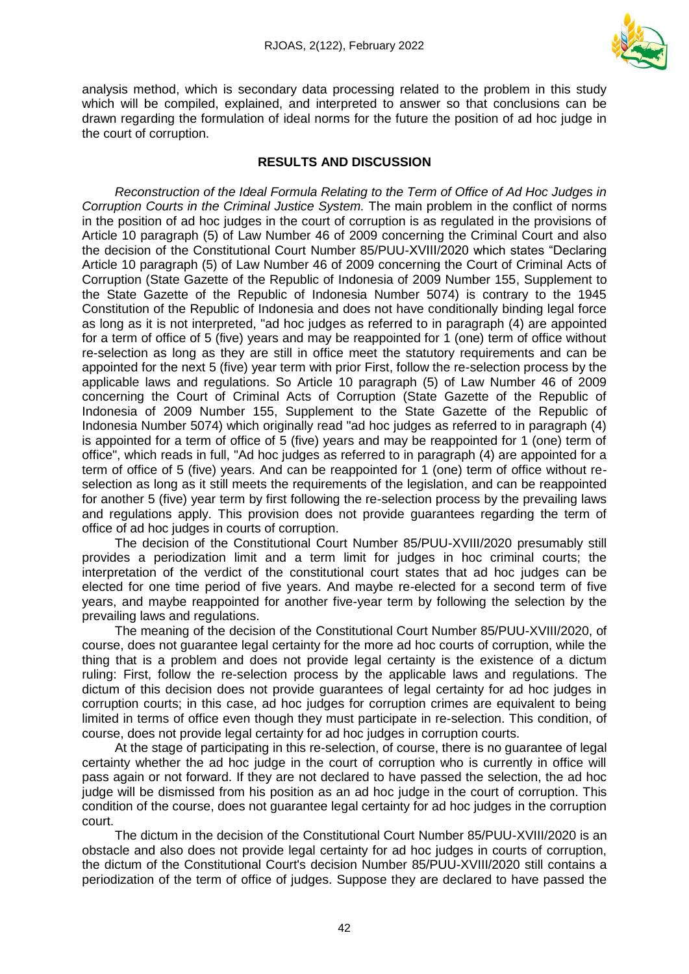

analysis method, which is secondary data processing related to the problem in this study which will be compiled, explained, and interpreted to answer so that conclusions can be drawn regarding the formulation of ideal norms for the future the position of ad hoc judge in the court of corruption.

## **RESULTS AND DISCUSSION**

*Reconstruction of the Ideal Formula Relating to the Term of Office of Ad Hoc Judges in Corruption Courts in the Criminal Justice System.* The main problem in the conflict of norms in the position of ad hoc judges in the court of corruption is as regulated in the provisions of Article 10 paragraph (5) of Law Number 46 of 2009 concerning the Criminal Court and also the decision of the Constitutional Court Number 85/PUU-XVIII/2020 which states "Declaring Article 10 paragraph (5) of Law Number 46 of 2009 concerning the Court of Criminal Acts of Corruption (State Gazette of the Republic of Indonesia of 2009 Number 155, Supplement to the State Gazette of the Republic of Indonesia Number 5074) is contrary to the 1945 Constitution of the Republic of Indonesia and does not have conditionally binding legal force as long as it is not interpreted, "ad hoc judges as referred to in paragraph (4) are appointed for a term of office of 5 (five) years and may be reappointed for 1 (one) term of office without re-selection as long as they are still in office meet the statutory requirements and can be appointed for the next 5 (five) year term with prior First, follow the re-selection process by the applicable laws and regulations. So Article 10 paragraph (5) of Law Number 46 of 2009 concerning the Court of Criminal Acts of Corruption (State Gazette of the Republic of Indonesia of 2009 Number 155, Supplement to the State Gazette of the Republic of Indonesia Number 5074) which originally read "ad hoc judges as referred to in paragraph (4) is appointed for a term of office of 5 (five) years and may be reappointed for 1 (one) term of office", which reads in full, "Ad hoc judges as referred to in paragraph (4) are appointed for a term of office of 5 (five) years. And can be reappointed for 1 (one) term of office without reselection as long as it still meets the requirements of the legislation, and can be reappointed for another 5 (five) year term by first following the re-selection process by the prevailing laws and regulations apply. This provision does not provide guarantees regarding the term of office of ad hoc judges in courts of corruption.

The decision of the Constitutional Court Number 85/PUU-XVIII/2020 presumably still provides a periodization limit and a term limit for judges in hoc criminal courts; the interpretation of the verdict of the constitutional court states that ad hoc judges can be elected for one time period of five years. And maybe re-elected for a second term of five years, and maybe reappointed for another five-year term by following the selection by the prevailing laws and regulations.

The meaning of the decision of the Constitutional Court Number 85/PUU-XVIII/2020, of course, does not guarantee legal certainty for the more ad hoc courts of corruption, while the thing that is a problem and does not provide legal certainty is the existence of a dictum ruling: First, follow the re-selection process by the applicable laws and regulations. The dictum of this decision does not provide guarantees of legal certainty for ad hoc judges in corruption courts; in this case, ad hoc judges for corruption crimes are equivalent to being limited in terms of office even though they must participate in re-selection. This condition, of course, does not provide legal certainty for ad hoc judges in corruption courts.

At the stage of participating in this re-selection, of course, there is no guarantee of legal certainty whether the ad hoc judge in the court of corruption who is currently in office will pass again or not forward. If they are not declared to have passed the selection, the ad hoc judge will be dismissed from his position as an ad hoc judge in the court of corruption. This condition of the course, does not guarantee legal certainty for ad hoc judges in the corruption court.

The dictum in the decision of the Constitutional Court Number 85/PUU-XVIII/2020 is an obstacle and also does not provide legal certainty for ad hoc judges in courts of corruption, the dictum of the Constitutional Court's decision Number 85/PUU-XVIII/2020 still contains a periodization of the term of office of judges. Suppose they are declared to have passed the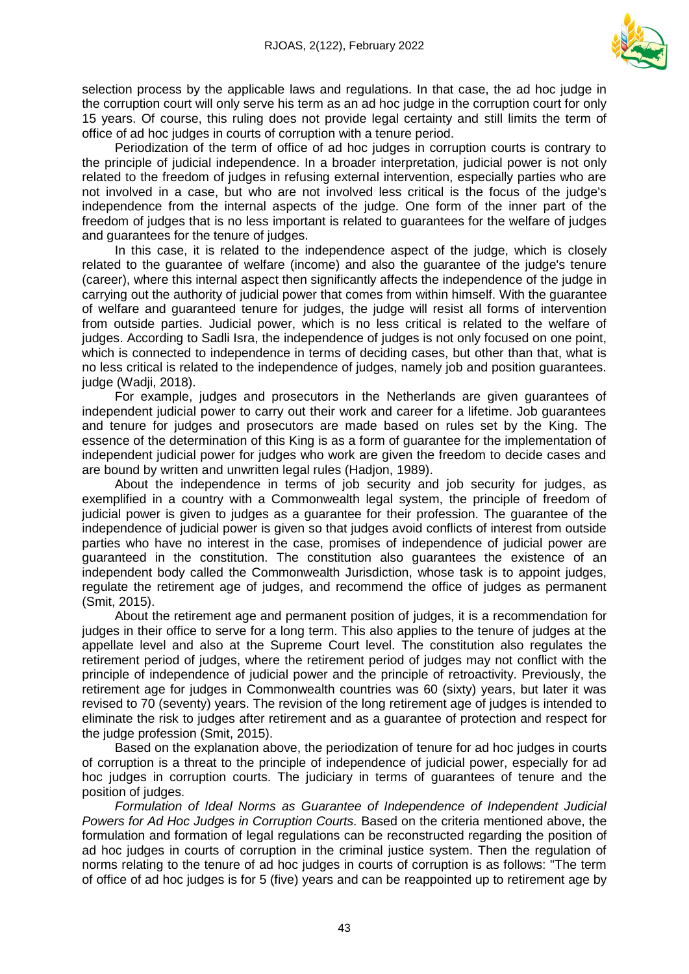

selection process by the applicable laws and regulations. In that case, the ad hoc judge in the corruption court will only serve his term as an ad hoc judge in the corruption court for only 15 years. Of course, this ruling does not provide legal certainty and still limits the term of office of ad hoc judges in courts of corruption with a tenure period.

Periodization of the term of office of ad hoc judges in corruption courts is contrary to the principle of judicial independence. In a broader interpretation, judicial power is not only related to the freedom of judges in refusing external intervention, especially parties who are not involved in a case, but who are not involved less critical is the focus of the judge's independence from the internal aspects of the judge. One form of the inner part of the freedom of judges that is no less important is related to guarantees for the welfare of judges and guarantees for the tenure of judges.

In this case, it is related to the independence aspect of the judge, which is closely related to the guarantee of welfare (income) and also the guarantee of the judge's tenure (career), where this internal aspect then significantly affects the independence of the judge in carrying out the authority of judicial power that comes from within himself. With the guarantee of welfare and guaranteed tenure for judges, the judge will resist all forms of intervention from outside parties. Judicial power, which is no less critical is related to the welfare of judges. According to Sadli Isra, the independence of judges is not only focused on one point, which is connected to independence in terms of deciding cases, but other than that, what is no less critical is related to the independence of judges, namely job and position guarantees. judge (Wadji, 2018).

For example, judges and prosecutors in the Netherlands are given guarantees of independent judicial power to carry out their work and career for a lifetime. Job guarantees and tenure for judges and prosecutors are made based on rules set by the King. The essence of the determination of this King is as a form of guarantee for the implementation of independent judicial power for judges who work are given the freedom to decide cases and are bound by written and unwritten legal rules (Hadjon, 1989).

About the independence in terms of job security and job security for judges, as exemplified in a country with a Commonwealth legal system, the principle of freedom of judicial power is given to judges as a guarantee for their profession. The guarantee of the independence of judicial power is given so that judges avoid conflicts of interest from outside parties who have no interest in the case, promises of independence of judicial power are guaranteed in the constitution. The constitution also guarantees the existence of an independent body called the Commonwealth Jurisdiction, whose task is to appoint judges, regulate the retirement age of judges, and recommend the office of judges as permanent (Smit, 2015).

About the retirement age and permanent position of judges, it is a recommendation for judges in their office to serve for a long term. This also applies to the tenure of judges at the appellate level and also at the Supreme Court level. The constitution also regulates the retirement period of judges, where the retirement period of judges may not conflict with the principle of independence of judicial power and the principle of retroactivity. Previously, the retirement age for judges in Commonwealth countries was 60 (sixty) years, but later it was revised to 70 (seventy) years. The revision of the long retirement age of judges is intended to eliminate the risk to judges after retirement and as a guarantee of protection and respect for the judge profession (Smit, 2015).

Based on the explanation above, the periodization of tenure for ad hoc judges in courts of corruption is a threat to the principle of independence of judicial power, especially for ad hoc judges in corruption courts. The judiciary in terms of guarantees of tenure and the position of judges.

*Formulation of Ideal Norms as Guarantee of Independence of Independent Judicial Powers for Ad Hoc Judges in Corruption Courts.* Based on the criteria mentioned above, the formulation and formation of legal regulations can be reconstructed regarding the position of ad hoc judges in courts of corruption in the criminal justice system. Then the regulation of norms relating to the tenure of ad hoc judges in courts of corruption is as follows: "The term of office of ad hoc judges is for 5 (five) years and can be reappointed up to retirement age by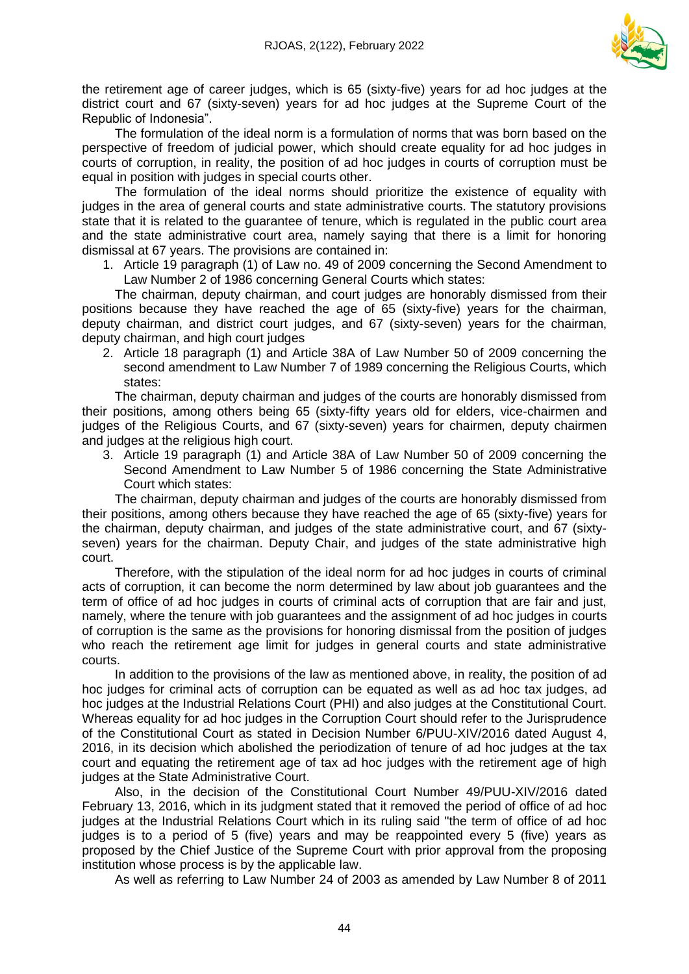

the retirement age of career judges, which is 65 (sixty-five) years for ad hoc judges at the district court and 67 (sixty-seven) years for ad hoc judges at the Supreme Court of the Republic of Indonesia".

The formulation of the ideal norm is a formulation of norms that was born based on the perspective of freedom of judicial power, which should create equality for ad hoc judges in courts of corruption, in reality, the position of ad hoc judges in courts of corruption must be equal in position with judges in special courts other.

The formulation of the ideal norms should prioritize the existence of equality with judges in the area of general courts and state administrative courts. The statutory provisions state that it is related to the guarantee of tenure, which is regulated in the public court area and the state administrative court area, namely saying that there is a limit for honoring dismissal at 67 years. The provisions are contained in:

1. Article 19 paragraph (1) of Law no. 49 of 2009 concerning the Second Amendment to Law Number 2 of 1986 concerning General Courts which states:

The chairman, deputy chairman, and court judges are honorably dismissed from their positions because they have reached the age of 65 (sixty-five) years for the chairman, deputy chairman, and district court judges, and 67 (sixty-seven) years for the chairman, deputy chairman, and high court judges

2. Article 18 paragraph (1) and Article 38A of Law Number 50 of 2009 concerning the second amendment to Law Number 7 of 1989 concerning the Religious Courts, which states:

The chairman, deputy chairman and judges of the courts are honorably dismissed from their positions, among others being 65 (sixty-fifty years old for elders, vice-chairmen and judges of the Religious Courts, and 67 (sixty-seven) years for chairmen, deputy chairmen and judges at the religious high court.

3. Article 19 paragraph (1) and Article 38A of Law Number 50 of 2009 concerning the Second Amendment to Law Number 5 of 1986 concerning the State Administrative Court which states:

The chairman, deputy chairman and judges of the courts are honorably dismissed from their positions, among others because they have reached the age of 65 (sixty-five) years for the chairman, deputy chairman, and judges of the state administrative court, and 67 (sixtyseven) years for the chairman. Deputy Chair, and judges of the state administrative high court.

Therefore, with the stipulation of the ideal norm for ad hoc judges in courts of criminal acts of corruption, it can become the norm determined by law about job guarantees and the term of office of ad hoc judges in courts of criminal acts of corruption that are fair and just, namely, where the tenure with job guarantees and the assignment of ad hoc judges in courts of corruption is the same as the provisions for honoring dismissal from the position of judges who reach the retirement age limit for judges in general courts and state administrative courts.

In addition to the provisions of the law as mentioned above, in reality, the position of ad hoc judges for criminal acts of corruption can be equated as well as ad hoc tax judges, ad hoc judges at the Industrial Relations Court (PHI) and also judges at the Constitutional Court. Whereas equality for ad hoc judges in the Corruption Court should refer to the Jurisprudence of the Constitutional Court as stated in Decision Number 6/PUU-XIV/2016 dated August 4, 2016, in its decision which abolished the periodization of tenure of ad hoc judges at the tax court and equating the retirement age of tax ad hoc judges with the retirement age of high judges at the State Administrative Court.

Also, in the decision of the Constitutional Court Number 49/PUU-XIV/2016 dated February 13, 2016, which in its judgment stated that it removed the period of office of ad hoc judges at the Industrial Relations Court which in its ruling said "the term of office of ad hoc judges is to a period of 5 (five) years and may be reappointed every 5 (five) years as proposed by the Chief Justice of the Supreme Court with prior approval from the proposing institution whose process is by the applicable law.

As well as referring to Law Number 24 of 2003 as amended by Law Number 8 of 2011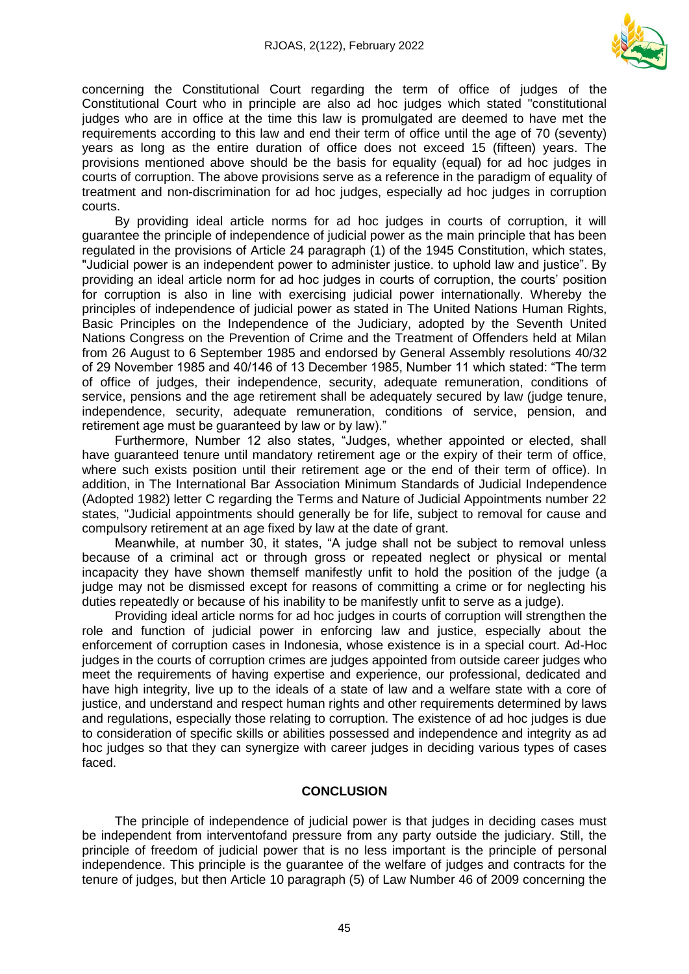

concerning the Constitutional Court regarding the term of office of judges of the Constitutional Court who in principle are also ad hoc judges which stated "constitutional judges who are in office at the time this law is promulgated are deemed to have met the requirements according to this law and end their term of office until the age of 70 (seventy) years as long as the entire duration of office does not exceed 15 (fifteen) years. The provisions mentioned above should be the basis for equality (equal) for ad hoc judges in courts of corruption. The above provisions serve as a reference in the paradigm of equality of treatment and non-discrimination for ad hoc judges, especially ad hoc judges in corruption courts.

By providing ideal article norms for ad hoc judges in courts of corruption, it will guarantee the principle of independence of judicial power as the main principle that has been regulated in the provisions of Article 24 paragraph (1) of the 1945 Constitution, which states, "Judicial power is an independent power to administer justice. to uphold law and justice". By providing an ideal article norm for ad hoc judges in courts of corruption, the courts' position for corruption is also in line with exercising judicial power internationally. Whereby the principles of independence of judicial power as stated in The United Nations Human Rights, Basic Principles on the Independence of the Judiciary, adopted by the Seventh United Nations Congress on the Prevention of Crime and the Treatment of Offenders held at Milan from 26 August to 6 September 1985 and endorsed by General Assembly resolutions 40/32 of 29 November 1985 and 40/146 of 13 December 1985, Number 11 which stated: "The term of office of judges, their independence, security, adequate remuneration, conditions of service, pensions and the age retirement shall be adequately secured by law (judge tenure, independence, security, adequate remuneration, conditions of service, pension, and retirement age must be guaranteed by law or by law)."

Furthermore, Number 12 also states, "Judges, whether appointed or elected, shall have guaranteed tenure until mandatory retirement age or the expiry of their term of office, where such exists position until their retirement age or the end of their term of office). In addition, in The International Bar Association Minimum Standards of Judicial Independence (Adopted 1982) letter C regarding the Terms and Nature of Judicial Appointments number 22 states, "Judicial appointments should generally be for life, subject to removal for cause and compulsory retirement at an age fixed by law at the date of grant.

Meanwhile, at number 30, it states, "A judge shall not be subject to removal unless because of a criminal act or through gross or repeated neglect or physical or mental incapacity they have shown themself manifestly unfit to hold the position of the judge (a judge may not be dismissed except for reasons of committing a crime or for neglecting his duties repeatedly or because of his inability to be manifestly unfit to serve as a judge).

Providing ideal article norms for ad hoc judges in courts of corruption will strengthen the role and function of judicial power in enforcing law and justice, especially about the enforcement of corruption cases in Indonesia, whose existence is in a special court. Ad-Hoc judges in the courts of corruption crimes are judges appointed from outside career judges who meet the requirements of having expertise and experience, our professional, dedicated and have high integrity, live up to the ideals of a state of law and a welfare state with a core of justice, and understand and respect human rights and other requirements determined by laws and regulations, especially those relating to corruption. The existence of ad hoc judges is due to consideration of specific skills or abilities possessed and independence and integrity as ad hoc judges so that they can synergize with career judges in deciding various types of cases faced.

#### **CONCLUSION**

The principle of independence of judicial power is that judges in deciding cases must be independent from interventofand pressure from any party outside the judiciary. Still, the principle of freedom of judicial power that is no less important is the principle of personal independence. This principle is the guarantee of the welfare of judges and contracts for the tenure of judges, but then Article 10 paragraph (5) of Law Number 46 of 2009 concerning the